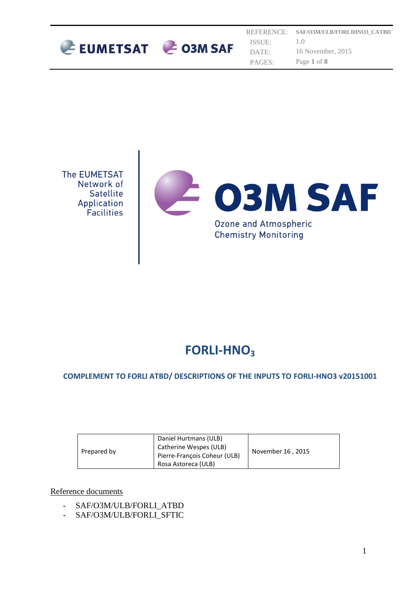

REFERENCE: ISSUE: DATE: PAGES: **SAF/O3M/ULB/FORLIHNO3\_CATBD** 1.0 16 November, 2015 Page **1** of **8**



# **FORLI-HNO<sup>3</sup>**

# **COMPLEMENT TO FORLI ATBD/ DESCRIPTIONS OF THE INPUTS TO FORLI-HNO3 v20151001**

| Prepared by | Daniel Hurtmans (ULB)<br>Catherine Wespes (ULB)<br>Pierre-François Coheur (ULB) | November 16, 2015 |
|-------------|---------------------------------------------------------------------------------|-------------------|
|             | Rosa Astoreca (ULB)                                                             |                   |

Reference documents

- SAF/O3M/ULB/FORLI\_ATBD
- SAF/O3M/ULB/FORLI\_SFTIC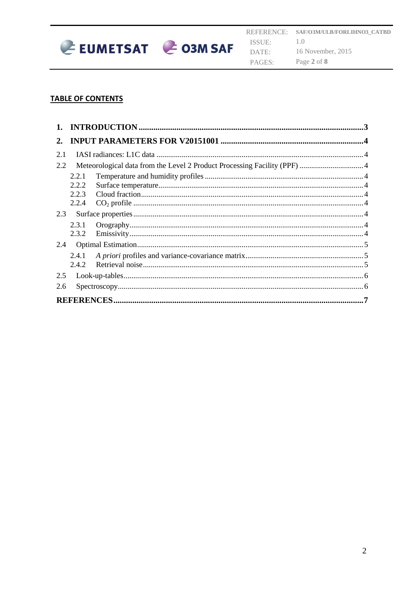

#### **TABLE OF CONTENTS**

| 2.  |       |  |  |  |
|-----|-------|--|--|--|
| 2.1 |       |  |  |  |
| 2.2 |       |  |  |  |
|     | 2.2.1 |  |  |  |
|     | 2.2.2 |  |  |  |
|     | 2.2.3 |  |  |  |
|     | 2.2.4 |  |  |  |
| 2.3 |       |  |  |  |
|     | 2.3.1 |  |  |  |
|     | 2.3.2 |  |  |  |
| 2.4 |       |  |  |  |
|     | 2.4.1 |  |  |  |
|     | 2.4.2 |  |  |  |
| 2.5 |       |  |  |  |
| 2.6 |       |  |  |  |
|     |       |  |  |  |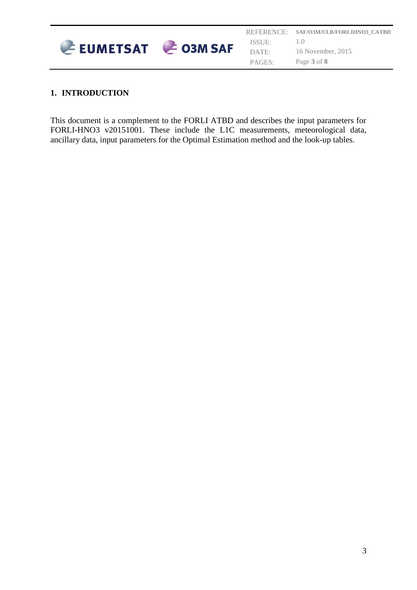

# <span id="page-2-0"></span>**1. INTRODUCTION**

This document is a complement to the FORLI ATBD and describes the input parameters for FORLI-HNO3 v20151001. These include the L1C measurements, meteorological data, ancillary data, input parameters for the Optimal Estimation method and the look-up tables.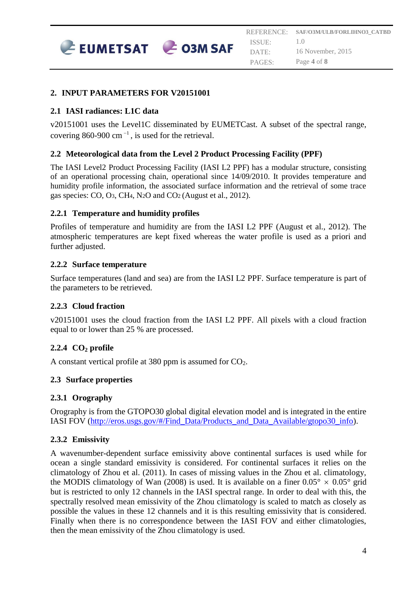

## <span id="page-3-0"></span>**2. INPUT PARAMETERS FOR V20151001**

# <span id="page-3-1"></span>**2.1 IASI radiances: L1C data**

v20151001 uses the Level1C disseminated by EUMETCast. A subset of the spectral range, covering 860-900 cm $^{-1}$ , is used for the retrieval.

# <span id="page-3-2"></span>**2.2 Meteorological data from the Level 2 Product Processing Facility (PPF)**

The IASI Level2 Product Processing Facility (IASI L2 PPF) has a modular structure, consisting of an operational processing chain, operational since 14/09/2010. It provides temperature and humidity profile information, the associated surface information and the retrieval of some trace gas species: CO, O3, CH4, N2O and CO2 (August et al., 2012).

## <span id="page-3-3"></span>**2.2.1 Temperature and humidity profiles**

Profiles of temperature and humidity are from the IASI L2 PPF (August et al., 2012). The atmospheric temperatures are kept fixed whereas the water profile is used as a priori and further adjusted.

## <span id="page-3-4"></span>**2.2.2 Surface temperature**

Surface temperatures (land and sea) are from the IASI L2 PPF. Surface temperature is part of the parameters to be retrieved.

## <span id="page-3-5"></span>**2.2.3 Cloud fraction**

v20151001 uses the cloud fraction from the IASI L2 PPF. All pixels with a cloud fraction equal to or lower than 25 % are processed.

## <span id="page-3-6"></span>**2.2.4 CO<sup>2</sup> profile**

A constant vertical profile at 380 ppm is assumed for  $CO<sub>2</sub>$ .

## <span id="page-3-7"></span>**2.3 Surface properties**

## <span id="page-3-8"></span>**2.3.1 Orography**

Orography is from the GTOPO30 global digital elevation model and is integrated in the entire IASI FOV [\(http://eros.usgs.gov/#/Find\\_Data/Products\\_and\\_Data\\_Available/gtopo30\\_info\)](http://eros.usgs.gov/#/Find_Data/Products_and_Data_Available/gtopo30_info).

## <span id="page-3-9"></span>**2.3.2 Emissivity**

A wavenumber-dependent surface emissivity above continental surfaces is used while for ocean a single standard emissivity is considered. For continental surfaces it relies on the climatology of Zhou et al. (2011). In cases of missing values in the Zhou et al. climatology, the MODIS climatology of Wan (2008) is used. It is available on a finer  $0.05^{\circ} \times 0.05^{\circ}$  grid but is restricted to only 12 channels in the IASI spectral range. In order to deal with this, the spectrally resolved mean emissivity of the Zhou climatology is scaled to match as closely as possible the values in these 12 channels and it is this resulting emissivity that is considered. Finally when there is no correspondence between the IASI FOV and either climatologies, then the mean emissivity of the Zhou climatology is used.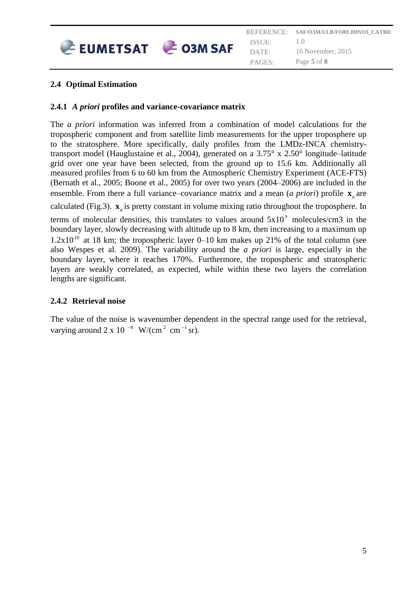

# <span id="page-4-0"></span>**2.4 Optimal Estimation**

#### <span id="page-4-1"></span>**2.4.1** *A priori* **profiles and variance-covariance matrix**

The *a priori* information was inferred from a combination of model calculations for the tropospheric component and from satellite limb measurements for the upper troposphere up to the stratosphere. More specifically, daily profiles from the LMDz-INCA chemistrytransport model (Hauglustaine et al., 2004), generated on a 3.75° x 2.50° longitude–latitude grid over one year have been selected, from the ground up to 15.6 km. Additionally all measured profiles from 6 to 60 km from the Atmospheric Chemistry Experiment (ACE-FTS) (Bernath et al., 2005; Boone et al., 2005) for over two years (2004–2006) are included in the ensemble. From there a full variance-covariance matrix and a mean (*a priori*) profile  $\mathbf{x}_a$  are

calculated (Fig.3).  $\mathbf{x}_a$  is pretty constant in volume mixing ratio throughout the troposphere. In

terms of molecular densities, this translates to values around  $5x10<sup>9</sup>$  molecules/cm3 in the boundary layer, slowly decreasing with altitude up to 8 km, then increasing to a maximum up  $1.2x10^{10}$  at 18 km; the tropospheric layer 0–10 km makes up 21% of the total column (see also Wespes et al. 2009). The variability around the *a priori* is large, especially in the boundary layer, where it reaches 170%. Furthermore, the tropospheric and stratospheric layers are weakly correlated, as expected, while within these two layers the correlation lengths are significant.

## <span id="page-4-2"></span>**2.4.2 Retrieval noise**

The value of the noise is wavenumber dependent in the spectral range used for the retrieval, varying around 2 x 10<sup>-8</sup> W/(cm<sup>2</sup> cm<sup>-1</sup> sr).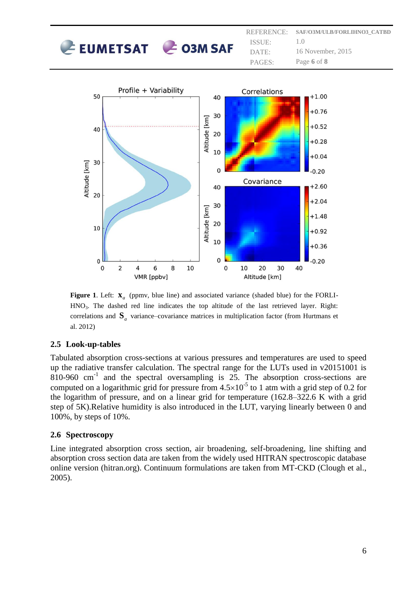|                          |  |        | REFERENCE: SAF/O3M/ULB/FORLIHNO3 CATBD |
|--------------------------|--|--------|----------------------------------------|
| $E$ EUMETSAT $E$ O3M SAF |  | ISSUE: |                                        |
|                          |  | DATE   | 16 November, 2015                      |
|                          |  | PAGES: | Page 6 of 8                            |



**Figure 1.** Left:  $\mathbf{x}_a$  (ppmv, blue line) and associated variance (shaded blue) for the FORLI-HNO3. The dashed red line indicates the top altitude of the last retrieved layer. Right: correlations and **S***a* variance–covariance matrices in multiplication factor (from Hurtmans et al. 2012)

## <span id="page-5-0"></span>**2.5 Look-up-tables**

Tabulated absorption cross-sections at various pressures and temperatures are used to speed up the radiative transfer calculation. The spectral range for the LUTs used in v20151001 is  $810-960$  cm<sup>-1</sup> and the spectral oversampling is 25. The absorption cross-sections are computed on a logarithmic grid for pressure from  $4.5 \times 10^{-5}$  to 1 atm with a grid step of 0.2 for the logarithm of pressure, and on a linear grid for temperature (162.8–322.6 K with a grid step of 5K).Relative humidity is also introduced in the LUT, varying linearly between 0 and 100%, by steps of 10%.

## <span id="page-5-1"></span>**2.6 Spectroscopy**

Line integrated absorption cross section, air broadening, self-broadening, line shifting and absorption cross section data are taken from the widely used HITRAN spectroscopic database online version (hitran.org). Continuum formulations are taken from MT-CKD (Clough et al., 2005).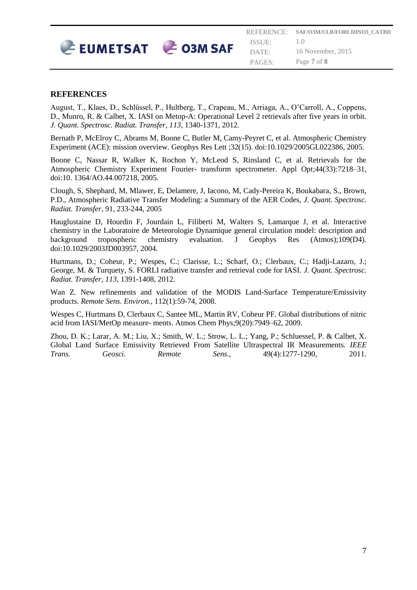

#### <span id="page-6-0"></span>**REFERENCES**

August, T., Klaes, D., Schlüssel, P., Hultberg, T., Crapeau, M., Arriaga, A., O'Carroll, A., Coppens, D., Munro, R. & Calbet, X. IASI on Metop-A: Operational Level 2 retrievals after five years in orbit. *J. Quant. Spectrosc. Radiat. Transfer, 113*, 1340-1371, 2012*.*

Bernath P, McElroy C, Abrams M, Boone C, Butler M, Camy-Peyret C, et al. Atmospheric Chemistry Experiment (ACE): mission overview. Geophys Res Lett ;32(15). doi:10.1029/2005GL022386, 2005.

Boone C, Nassar R, Walker K, Rochon Y, McLeod S, Rinsland C, et al. Retrievals for the Atmospheric Chemistry Experiment Fourier- transform spectrometer. Appl Opt;44(33):7218–31, doi:10. 1364/AO.44.007218, 2005.

Clough, S, Shephard, M, Mlawer, E, Delamere, J, Iacono, M, Cady-Pereira K, Boukabara, S., Brown, P.D., Atmospheric Radiative Transfer Modeling: a Summary of the AER Codes, *J. Quant. Spectrosc. Radiat. Transfer*, 91, 233-244, 2005

Hauglustaine D, Hourdin F, Jourdain L, Filiberti M, Walters S, Lamarque J, et al. Interactive chemistry in the Laboratoire de Meteorologie Dynamique general circulation model: description and background tropospheric chemistry evaluation. J Geophys Res (Atmos);109(D4). doi:10.1029/2003JD003957, 2004.

Hurtmans, D.; Coheur, P.; Wespes, C.; Clarisse, L.; Scharf, O.; Clerbaux, C.; Hadji-Lazaro, J.; George, M. & Turquety, S. FORLI radiative transfer and retrieval code for IASI. *J. Quant. Spectrosc. Radiat. Transfer, 113*, 1391-1408, 2012*.*

Wan Z. New refinements and validation of the MODIS Land-Surface Temperature/Emissivity products. *Remote Sens. Environ.*, 112(1):59-74, 2008.

Wespes C, Hurtmans D, Clerbaux C, Santee ML, Martin RV, Coheur PF. Global distributions of nitric acid from IASI/MetOp measure- ments. Atmos Chem Phys;9(20):7949–62, 2009.

Zhou, D. K.; Larar, A. M.; Liu, X.; Smith, W. L.; Strow, L. L.; Yang, P.; Schluessel, P. & Calbet, X. Global Land Surface Emissivity Retrieved From Satellite Ultraspectral IR Measurements. *IEEE Trans. Geosci. Remote Sens.*, 49(4):1277-1290, 2011.